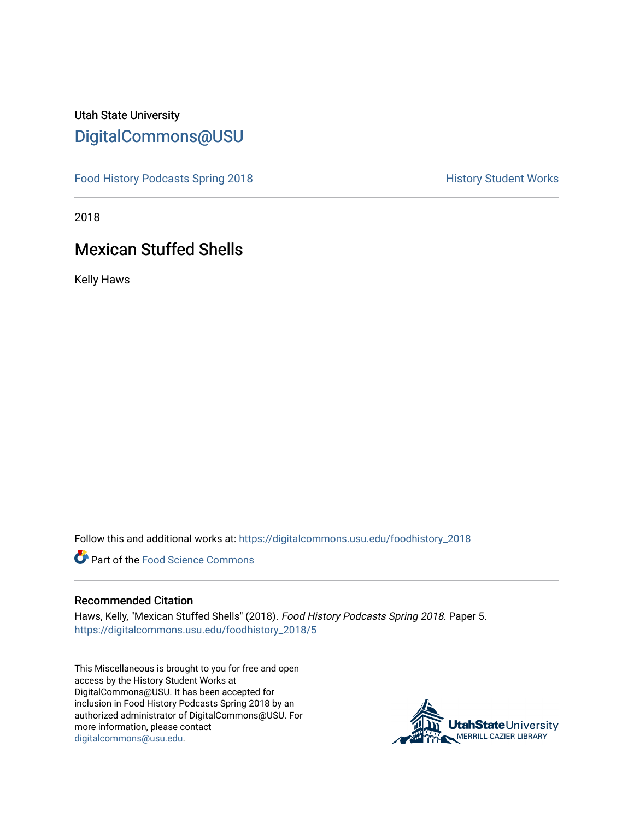## Utah State University [DigitalCommons@USU](https://digitalcommons.usu.edu/)

[Food History Podcasts Spring 2018](https://digitalcommons.usu.edu/foodhistory_2018) **History Student Works** 

2018

# Mexican Stuffed Shells

Kelly Haws

Follow this and additional works at: [https://digitalcommons.usu.edu/foodhistory\\_2018](https://digitalcommons.usu.edu/foodhistory_2018?utm_source=digitalcommons.usu.edu%2Ffoodhistory_2018%2F5&utm_medium=PDF&utm_campaign=PDFCoverPages) 

**C** Part of the Food Science Commons

#### Recommended Citation

Haws, Kelly, "Mexican Stuffed Shells" (2018). Food History Podcasts Spring 2018. Paper 5. [https://digitalcommons.usu.edu/foodhistory\\_2018/5](https://digitalcommons.usu.edu/foodhistory_2018/5?utm_source=digitalcommons.usu.edu%2Ffoodhistory_2018%2F5&utm_medium=PDF&utm_campaign=PDFCoverPages) 

This Miscellaneous is brought to you for free and open access by the History Student Works at DigitalCommons@USU. It has been accepted for inclusion in Food History Podcasts Spring 2018 by an authorized administrator of DigitalCommons@USU. For more information, please contact [digitalcommons@usu.edu.](mailto:digitalcommons@usu.edu)

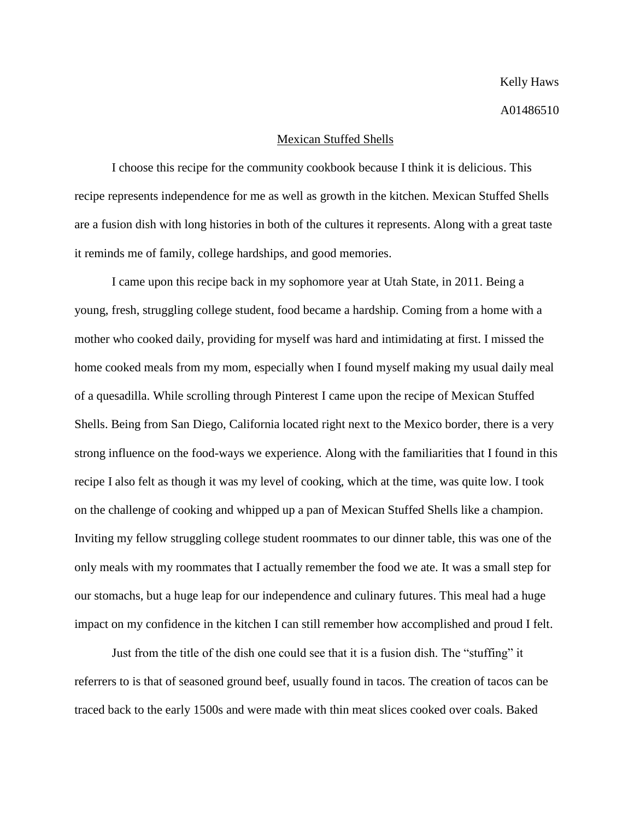#### Mexican Stuffed Shells

I choose this recipe for the community cookbook because I think it is delicious. This recipe represents independence for me as well as growth in the kitchen. Mexican Stuffed Shells are a fusion dish with long histories in both of the cultures it represents. Along with a great taste it reminds me of family, college hardships, and good memories.

I came upon this recipe back in my sophomore year at Utah State, in 2011. Being a young, fresh, struggling college student, food became a hardship. Coming from a home with a mother who cooked daily, providing for myself was hard and intimidating at first. I missed the home cooked meals from my mom, especially when I found myself making my usual daily meal of a quesadilla. While scrolling through Pinterest I came upon the recipe of Mexican Stuffed Shells. Being from San Diego, California located right next to the Mexico border, there is a very strong influence on the food-ways we experience. Along with the familiarities that I found in this recipe I also felt as though it was my level of cooking, which at the time, was quite low. I took on the challenge of cooking and whipped up a pan of Mexican Stuffed Shells like a champion. Inviting my fellow struggling college student roommates to our dinner table, this was one of the only meals with my roommates that I actually remember the food we ate. It was a small step for our stomachs, but a huge leap for our independence and culinary futures. This meal had a huge impact on my confidence in the kitchen I can still remember how accomplished and proud I felt.

Just from the title of the dish one could see that it is a fusion dish. The "stuffing" it referrers to is that of seasoned ground beef, usually found in tacos. The creation of tacos can be traced back to the early 1500s and were made with thin meat slices cooked over coals. Baked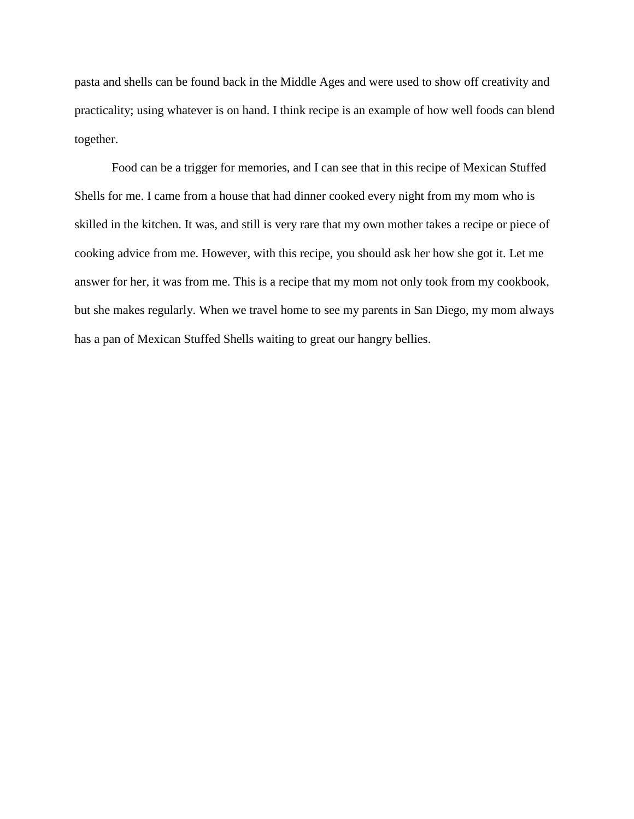pasta and shells can be found back in the Middle Ages and were used to show off creativity and practicality; using whatever is on hand. I think recipe is an example of how well foods can blend together.

Food can be a trigger for memories, and I can see that in this recipe of Mexican Stuffed Shells for me. I came from a house that had dinner cooked every night from my mom who is skilled in the kitchen. It was, and still is very rare that my own mother takes a recipe or piece of cooking advice from me. However, with this recipe, you should ask her how she got it. Let me answer for her, it was from me. This is a recipe that my mom not only took from my cookbook, but she makes regularly. When we travel home to see my parents in San Diego, my mom always has a pan of Mexican Stuffed Shells waiting to great our hangry bellies.